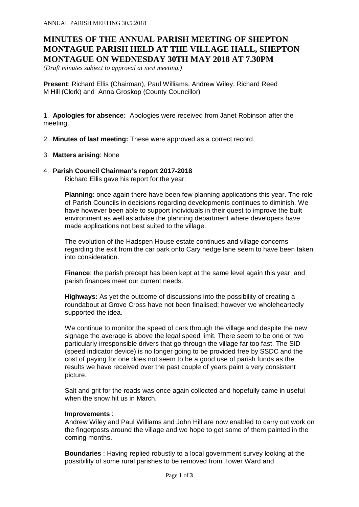# **MINUTES OF THE ANNUAL PARISH MEETING OF SHEPTON MONTAGUE PARISH HELD AT THE VILLAGE HALL, SHEPTON MONTAGUE ON WEDNESDAY 30TH MAY 2018 AT 7.30PM**

*(Draft minutes subject to approval at next meeting.)*

**Present**: Richard Ellis (Chairman), Paul Williams, Andrew Wiley, Richard Reed M Hill (Clerk) and Anna Groskop (County Councillor)

1. **Apologies for absence:** Apologies were received from Janet Robinson after the meeting.

- 2. **Minutes of last meeting:** These were approved as a correct record.
- 3. **Matters arising**: None

# 4. **Parish Council Chairman's report 2017-2018**

Richard Ellis gave his report for the year:

**Planning**: once again there have been few planning applications this year. The role of Parish Councils in decisions regarding developments continues to diminish. We have however been able to support individuals in their quest to improve the built environment as well as advise the planning department where developers have made applications not best suited to the village.

The evolution of the Hadspen House estate continues and village concerns regarding the exit from the car park onto Cary hedge lane seem to have been taken into consideration.

**Finance**: the parish precept has been kept at the same level again this year, and parish finances meet our current needs.

**Highways:** As yet the outcome of discussions into the possibility of creating a roundabout at Grove Cross have not been finalised; however we wholeheartedly supported the idea.

We continue to monitor the speed of cars through the village and despite the new signage the average is above the legal speed limit. There seem to be one or two particularly irresponsible drivers that go through the village far too fast. The SID (speed indicator device) is no longer going to be provided free by SSDC and the cost of paying for one does not seem to be a good use of parish funds as the results we have received over the past couple of years paint a very consistent picture.

Salt and grit for the roads was once again collected and hopefully came in useful when the snow hit us in March.

#### **Improvements** :

Andrew Wiley and Paul Williams and John Hill are now enabled to carry out work on the fingerposts around the village and we hope to get some of them painted in the coming months.

**Boundaries** : Having replied robustly to a local government survey looking at the possibility of some rural parishes to be removed from Tower Ward and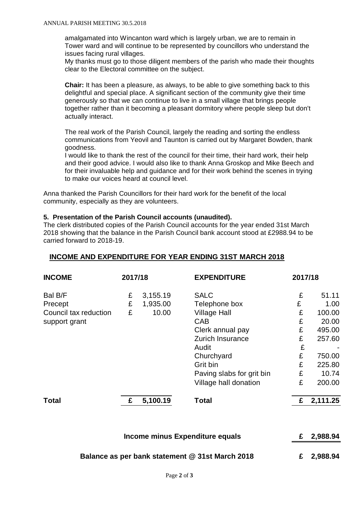amalgamated into Wincanton ward which is largely urban, we are to remain in Tower ward and will continue to be represented by councillors who understand the issues facing rural villages.

My thanks must go to those diligent members of the parish who made their thoughts clear to the Electoral committee on the subject.

**Chair:** It has been a pleasure, as always, to be able to give something back to this delightful and special place. A significant section of the community give their time generously so that we can continue to live in a small village that brings people together rather than it becoming a pleasant dormitory where people sleep but don't actually interact.

The real work of the Parish Council, largely the reading and sorting the endless communications from Yeovil and Taunton is carried out by Margaret Bowden, thank goodness.

I would like to thank the rest of the council for their time, their hard work, their help and their good advice. I would also like to thank Anna Groskop and Mike Beech and for their invaluable help and guidance and for their work behind the scenes in trying to make our voices heard at council level.

Anna thanked the Parish Councillors for their hard work for the benefit of the local community, especially as they are volunteers.

#### **5. Presentation of the Parish Council accounts (unaudited).**

The clerk distributed copies of the Parish Council accounts for the year ended 31st March 2018 showing that the balance in the Parish Council bank account stood at £2988.94 to be carried forward to 2018-19.

# **INCOME AND EXPENDITURE FOR YEAR ENDING 31ST MARCH 2018**

| <b>INCOME</b>         | 2017/18 |          | <b>EXPENDITURE</b>        | 2017/18 |          |
|-----------------------|---------|----------|---------------------------|---------|----------|
| Bal B/F               | £       | 3,155.19 | <b>SALC</b>               | £       | 51.11    |
| Precept               | £       | 1,935.00 | Telephone box             | £       | 1.00     |
| Council tax reduction | £       | 10.00    | <b>Village Hall</b>       | £       | 100.00   |
| support grant         |         |          | <b>CAB</b>                | £       | 20.00    |
|                       |         |          | Clerk annual pay          | £       | 495.00   |
|                       |         |          | Zurich Insurance          | £       | 257.60   |
|                       |         |          | Audit                     | £       |          |
|                       |         |          | Churchyard                | £       | 750.00   |
|                       |         |          | Grit bin                  | £       | 225.80   |
|                       |         |          | Paving slabs for grit bin | £       | 10.74    |
|                       |         |          | Village hall donation     | £       | 200.00   |
| <b>Total</b>          | £       | 5,100.19 | <b>Total</b>              | £       | 2,111.25 |
|                       |         |          |                           |         |          |

| Income minus Expenditure equals                 | £ 2,988.94 |
|-------------------------------------------------|------------|
|                                                 |            |
| Balance as per bank statement @ 31st March 2018 | £ 2,988.94 |